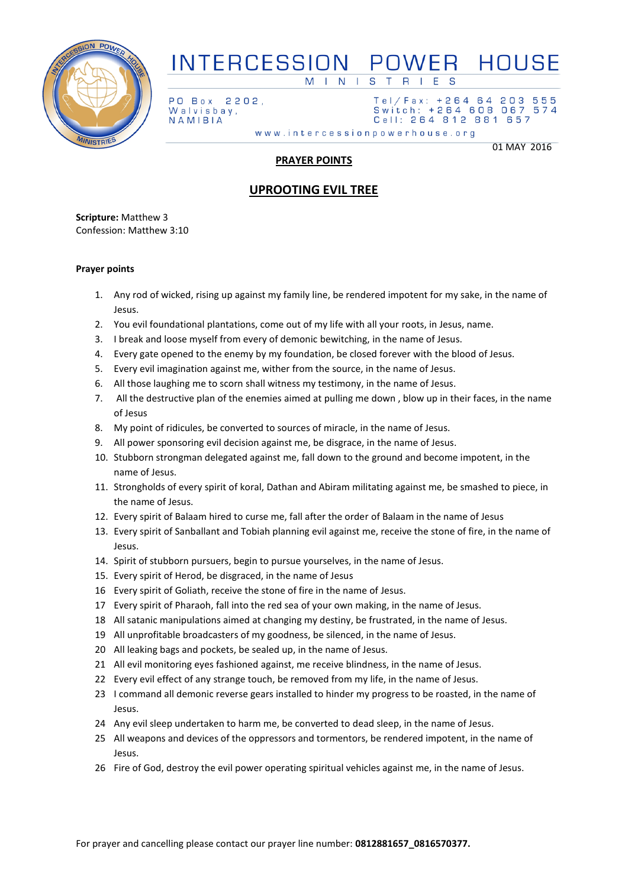

#### **INTERCESSION** POWER HOUSE  $M \mid N \mid$ S T R  $\overline{1}$

2202,

PO Box Walvisbay, NAMIBIA

Tel/Fax: +264 64 203 555 Switch: +264 608 067 574 Cell: 264 812 881 657

www.intercessionpowerhouse.org

01 MAY 2016

## **PRAYER POINTS**

# **UPROOTING EVIL TREE**

**Scripture:** Matthew 3 Confession: Matthew 3:10

### **Prayer points**

- 1. Any rod of wicked, rising up against my family line, be rendered impotent for my sake, in the name of Jesus.
- 2. You evil foundational plantations, come out of my life with all your roots, in Jesus, name.
- 3. I break and loose myself from every of demonic bewitching, in the name of Jesus.
- 4. Every gate opened to the enemy by my foundation, be closed forever with the blood of Jesus.
- 5. Every evil imagination against me, wither from the source, in the name of Jesus.
- 6. All those laughing me to scorn shall witness my testimony, in the name of Jesus.
- 7. All the destructive plan of the enemies aimed at pulling me down , blow up in their faces, in the name of Jesus
- 8. My point of ridicules, be converted to sources of miracle, in the name of Jesus.
- 9. All power sponsoring evil decision against me, be disgrace, in the name of Jesus.
- 10. Stubborn strongman delegated against me, fall down to the ground and become impotent, in the name of Jesus.
- 11. Strongholds of every spirit of koral, Dathan and Abiram militating against me, be smashed to piece, in the name of Jesus.
- 12. Every spirit of Balaam hired to curse me, fall after the order of Balaam in the name of Jesus
- 13. Every spirit of Sanballant and Tobiah planning evil against me, receive the stone of fire, in the name of Jesus.
- 14. Spirit of stubborn pursuers, begin to pursue yourselves, in the name of Jesus.
- 15. Every spirit of Herod, be disgraced, in the name of Jesus
- 16 Every spirit of Goliath, receive the stone of fire in the name of Jesus.
- 17 Every spirit of Pharaoh, fall into the red sea of your own making, in the name of Jesus.
- 18 All satanic manipulations aimed at changing my destiny, be frustrated, in the name of Jesus.
- 19 All unprofitable broadcasters of my goodness, be silenced, in the name of Jesus.
- 20 All leaking bags and pockets, be sealed up, in the name of Jesus.
- 21 All evil monitoring eyes fashioned against, me receive blindness, in the name of Jesus.
- 22 Every evil effect of any strange touch, be removed from my life, in the name of Jesus.
- 23 I command all demonic reverse gears installed to hinder my progress to be roasted, in the name of Jesus.
- 24 Any evil sleep undertaken to harm me, be converted to dead sleep, in the name of Jesus.
- 25 All weapons and devices of the oppressors and tormentors, be rendered impotent, in the name of Jesus.
- 26 Fire of God, destroy the evil power operating spiritual vehicles against me, in the name of Jesus.